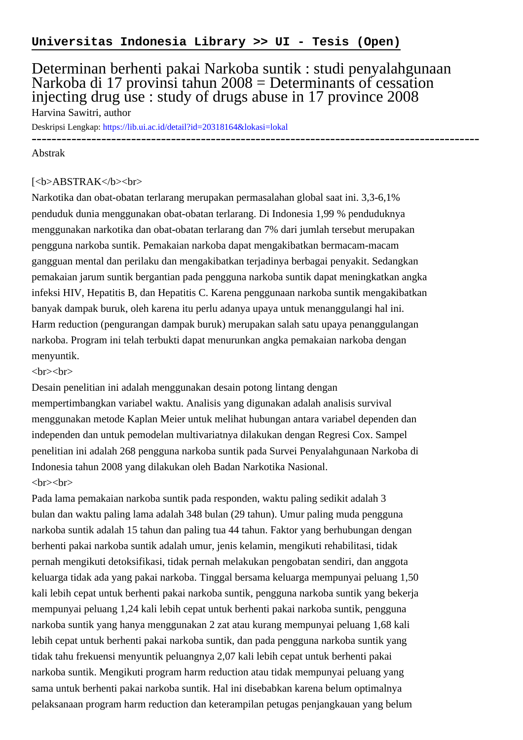# Determinan berhenti pakai Narkoba suntik : studi penyalahgunaan Narkoba di 17 provinsi tahun 2008 = Determinants of cessation injecting drug use : study of drugs abuse in 17 province 2008 Harvina Sawitri, author

Deskripsi Lengkap:<https://lib.ui.ac.id/detail?id=20318164&lokasi=lokal>

------------------------------------------------------------------------------------------

#### Abstrak

#### [<b>ABSTRAK</b><br/>shr>

Narkotika dan obat-obatan terlarang merupakan permasalahan global saat ini. 3,3-6,1% penduduk dunia menggunakan obat-obatan terlarang. Di Indonesia 1,99 % penduduknya menggunakan narkotika dan obat-obatan terlarang dan 7% dari jumlah tersebut merupakan pengguna narkoba suntik. Pemakaian narkoba dapat mengakibatkan bermacam-macam gangguan mental dan perilaku dan mengakibatkan terjadinya berbagai penyakit. Sedangkan pemakaian jarum suntik bergantian pada pengguna narkoba suntik dapat meningkatkan angka infeksi HIV, Hepatitis B, dan Hepatitis C. Karena penggunaan narkoba suntik mengakibatkan banyak dampak buruk, oleh karena itu perlu adanya upaya untuk menanggulangi hal ini. Harm reduction (pengurangan dampak buruk) merupakan salah satu upaya penanggulangan narkoba. Program ini telah terbukti dapat menurunkan angka pemakaian narkoba dengan menyuntik.

 $\langle$ hr> $\langle$ hr>

Desain penelitian ini adalah menggunakan desain potong lintang dengan mempertimbangkan variabel waktu. Analisis yang digunakan adalah analisis survival menggunakan metode Kaplan Meier untuk melihat hubungan antara variabel dependen dan independen dan untuk pemodelan multivariatnya dilakukan dengan Regresi Cox. Sampel penelitian ini adalah 268 pengguna narkoba suntik pada Survei Penyalahgunaan Narkoba di Indonesia tahun 2008 yang dilakukan oleh Badan Narkotika Nasional.  $br>  
br>$ 

Pada lama pemakaian narkoba suntik pada responden, waktu paling sedikit adalah 3 bulan dan waktu paling lama adalah 348 bulan (29 tahun). Umur paling muda pengguna narkoba suntik adalah 15 tahun dan paling tua 44 tahun. Faktor yang berhubungan dengan berhenti pakai narkoba suntik adalah umur, jenis kelamin, mengikuti rehabilitasi, tidak pernah mengikuti detoksifikasi, tidak pernah melakukan pengobatan sendiri, dan anggota keluarga tidak ada yang pakai narkoba. Tinggal bersama keluarga mempunyai peluang 1,50 kali lebih cepat untuk berhenti pakai narkoba suntik, pengguna narkoba suntik yang bekerja mempunyai peluang 1,24 kali lebih cepat untuk berhenti pakai narkoba suntik, pengguna narkoba suntik yang hanya menggunakan 2 zat atau kurang mempunyai peluang 1,68 kali lebih cepat untuk berhenti pakai narkoba suntik, dan pada pengguna narkoba suntik yang tidak tahu frekuensi menyuntik peluangnya 2,07 kali lebih cepat untuk berhenti pakai narkoba suntik. Mengikuti program harm reduction atau tidak mempunyai peluang yang sama untuk berhenti pakai narkoba suntik. Hal ini disebabkan karena belum optimalnya pelaksanaan program harm reduction dan keterampilan petugas penjangkauan yang belum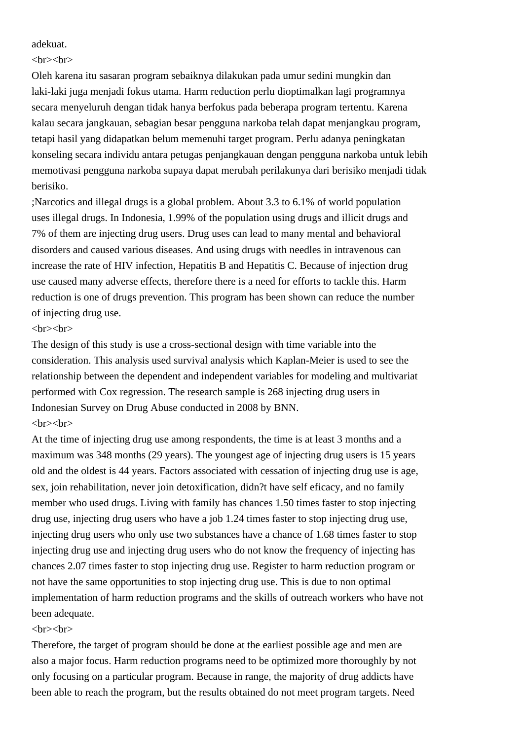adekuat.

 $\langle$ hr> $\langle$ hr>

Oleh karena itu sasaran program sebaiknya dilakukan pada umur sedini mungkin dan laki-laki juga menjadi fokus utama. Harm reduction perlu dioptimalkan lagi programnya secara menyeluruh dengan tidak hanya berfokus pada beberapa program tertentu. Karena kalau secara jangkauan, sebagian besar pengguna narkoba telah dapat menjangkau program, tetapi hasil yang didapatkan belum memenuhi target program. Perlu adanya peningkatan konseling secara individu antara petugas penjangkauan dengan pengguna narkoba untuk lebih memotivasi pengguna narkoba supaya dapat merubah perilakunya dari berisiko menjadi tidak berisiko.

;Narcotics and illegal drugs is a global problem. About 3.3 to 6.1% of world population uses illegal drugs. In Indonesia, 1.99% of the population using drugs and illicit drugs and 7% of them are injecting drug users. Drug uses can lead to many mental and behavioral disorders and caused various diseases. And using drugs with needles in intravenous can increase the rate of HIV infection, Hepatitis B and Hepatitis C. Because of injection drug use caused many adverse effects, therefore there is a need for efforts to tackle this. Harm reduction is one of drugs prevention. This program has been shown can reduce the number of injecting drug use.

### $\langle b r \rangle \langle b r \rangle$

The design of this study is use a cross-sectional design with time variable into the consideration. This analysis used survival analysis which Kaplan-Meier is used to see the relationship between the dependent and independent variables for modeling and multivariat performed with Cox regression. The research sample is 268 injecting drug users in Indonesian Survey on Drug Abuse conducted in 2008 by BNN.  $\langle b r \rangle \langle b r \rangle$ 

At the time of injecting drug use among respondents, the time is at least 3 months and a maximum was 348 months (29 years). The youngest age of injecting drug users is 15 years old and the oldest is 44 years. Factors associated with cessation of injecting drug use is age, sex, join rehabilitation, never join detoxification, didn?t have self eficacy, and no family member who used drugs. Living with family has chances 1.50 times faster to stop injecting drug use, injecting drug users who have a job 1.24 times faster to stop injecting drug use, injecting drug users who only use two substances have a chance of 1.68 times faster to stop injecting drug use and injecting drug users who do not know the frequency of injecting has chances 2.07 times faster to stop injecting drug use. Register to harm reduction program or not have the same opportunities to stop injecting drug use. This is due to non optimal implementation of harm reduction programs and the skills of outreach workers who have not been adequate.

## $\langle$ hr> $\langle$ hr>

Therefore, the target of program should be done at the earliest possible age and men are also a major focus. Harm reduction programs need to be optimized more thoroughly by not only focusing on a particular program. Because in range, the majority of drug addicts have been able to reach the program, but the results obtained do not meet program targets. Need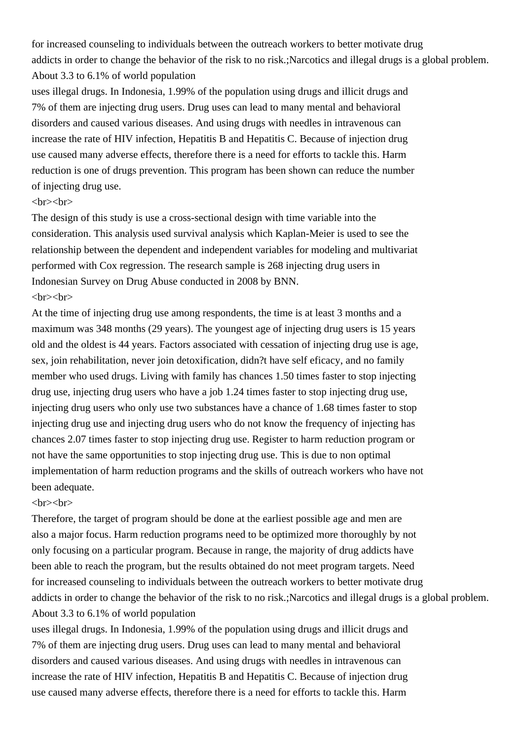for increased counseling to individuals between the outreach workers to better motivate drug addicts in order to change the behavior of the risk to no risk.;Narcotics and illegal drugs is a global problem. About 3.3 to 6.1% of world population

uses illegal drugs. In Indonesia, 1.99% of the population using drugs and illicit drugs and 7% of them are injecting drug users. Drug uses can lead to many mental and behavioral disorders and caused various diseases. And using drugs with needles in intravenous can increase the rate of HIV infection, Hepatitis B and Hepatitis C. Because of injection drug use caused many adverse effects, therefore there is a need for efforts to tackle this. Harm reduction is one of drugs prevention. This program has been shown can reduce the number of injecting drug use.

## $\langle b$ r> $\langle b$ r>

The design of this study is use a cross-sectional design with time variable into the consideration. This analysis used survival analysis which Kaplan-Meier is used to see the relationship between the dependent and independent variables for modeling and multivariat performed with Cox regression. The research sample is 268 injecting drug users in Indonesian Survey on Drug Abuse conducted in 2008 by BNN.  $\langle$ hr> $\langle$ hr>

At the time of injecting drug use among respondents, the time is at least 3 months and a maximum was 348 months (29 years). The youngest age of injecting drug users is 15 years old and the oldest is 44 years. Factors associated with cessation of injecting drug use is age, sex, join rehabilitation, never join detoxification, didn?t have self eficacy, and no family member who used drugs. Living with family has chances 1.50 times faster to stop injecting drug use, injecting drug users who have a job 1.24 times faster to stop injecting drug use, injecting drug users who only use two substances have a chance of 1.68 times faster to stop injecting drug use and injecting drug users who do not know the frequency of injecting has chances 2.07 times faster to stop injecting drug use. Register to harm reduction program or not have the same opportunities to stop injecting drug use. This is due to non optimal implementation of harm reduction programs and the skills of outreach workers who have not been adequate.

#### $\langle b r \rangle \langle b r \rangle$

Therefore, the target of program should be done at the earliest possible age and men are also a major focus. Harm reduction programs need to be optimized more thoroughly by not only focusing on a particular program. Because in range, the majority of drug addicts have been able to reach the program, but the results obtained do not meet program targets. Need for increased counseling to individuals between the outreach workers to better motivate drug addicts in order to change the behavior of the risk to no risk.;Narcotics and illegal drugs is a global problem. About 3.3 to 6.1% of world population

uses illegal drugs. In Indonesia, 1.99% of the population using drugs and illicit drugs and 7% of them are injecting drug users. Drug uses can lead to many mental and behavioral disorders and caused various diseases. And using drugs with needles in intravenous can increase the rate of HIV infection, Hepatitis B and Hepatitis C. Because of injection drug use caused many adverse effects, therefore there is a need for efforts to tackle this. Harm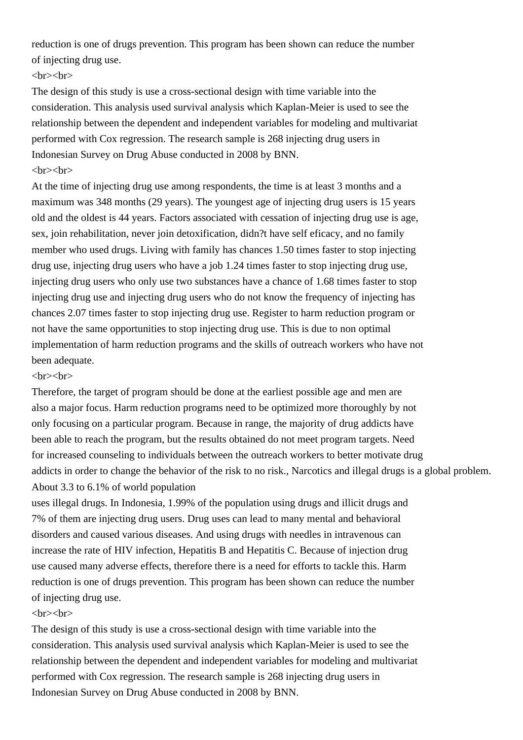reduction is one of drugs prevention. This program has been shown can reduce the number of injecting drug use.

## $\langle b r \rangle \langle b r \rangle$

The design of this study is use a cross-sectional design with time variable into the consideration. This analysis used survival analysis which Kaplan-Meier is used to see the relationship between the dependent and independent variables for modeling and multivariat performed with Cox regression. The research sample is 268 injecting drug users in Indonesian Survey on Drug Abuse conducted in 2008 by BNN.  $\langle$ hr> $\langle$ hr>

At the time of injecting drug use among respondents, the time is at least 3 months and a maximum was 348 months (29 years). The youngest age of injecting drug users is 15 years old and the oldest is 44 years. Factors associated with cessation of injecting drug use is age, sex, join rehabilitation, never join detoxification, didn?t have self eficacy, and no family member who used drugs. Living with family has chances 1.50 times faster to stop injecting drug use, injecting drug users who have a job 1.24 times faster to stop injecting drug use, injecting drug users who only use two substances have a chance of 1.68 times faster to stop injecting drug use and injecting drug users who do not know the frequency of injecting has chances 2.07 times faster to stop injecting drug use. Register to harm reduction program or not have the same opportunities to stop injecting drug use. This is due to non optimal implementation of harm reduction programs and the skills of outreach workers who have not been adequate.

### $\langle$ hr> $\langle$ hr>

Therefore, the target of program should be done at the earliest possible age and men are also a major focus. Harm reduction programs need to be optimized more thoroughly by not only focusing on a particular program. Because in range, the majority of drug addicts have been able to reach the program, but the results obtained do not meet program targets. Need for increased counseling to individuals between the outreach workers to better motivate drug addicts in order to change the behavior of the risk to no risk., Narcotics and illegal drugs is a global problem. About 3.3 to 6.1% of world population

uses illegal drugs. In Indonesia, 1.99% of the population using drugs and illicit drugs and 7% of them are injecting drug users. Drug uses can lead to many mental and behavioral disorders and caused various diseases. And using drugs with needles in intravenous can increase the rate of HIV infection, Hepatitis B and Hepatitis C. Because of injection drug use caused many adverse effects, therefore there is a need for efforts to tackle this. Harm reduction is one of drugs prevention. This program has been shown can reduce the number of injecting drug use.

## $\langle b$ r> $\langle b$ r>

The design of this study is use a cross-sectional design with time variable into the consideration. This analysis used survival analysis which Kaplan-Meier is used to see the relationship between the dependent and independent variables for modeling and multivariat performed with Cox regression. The research sample is 268 injecting drug users in Indonesian Survey on Drug Abuse conducted in 2008 by BNN.